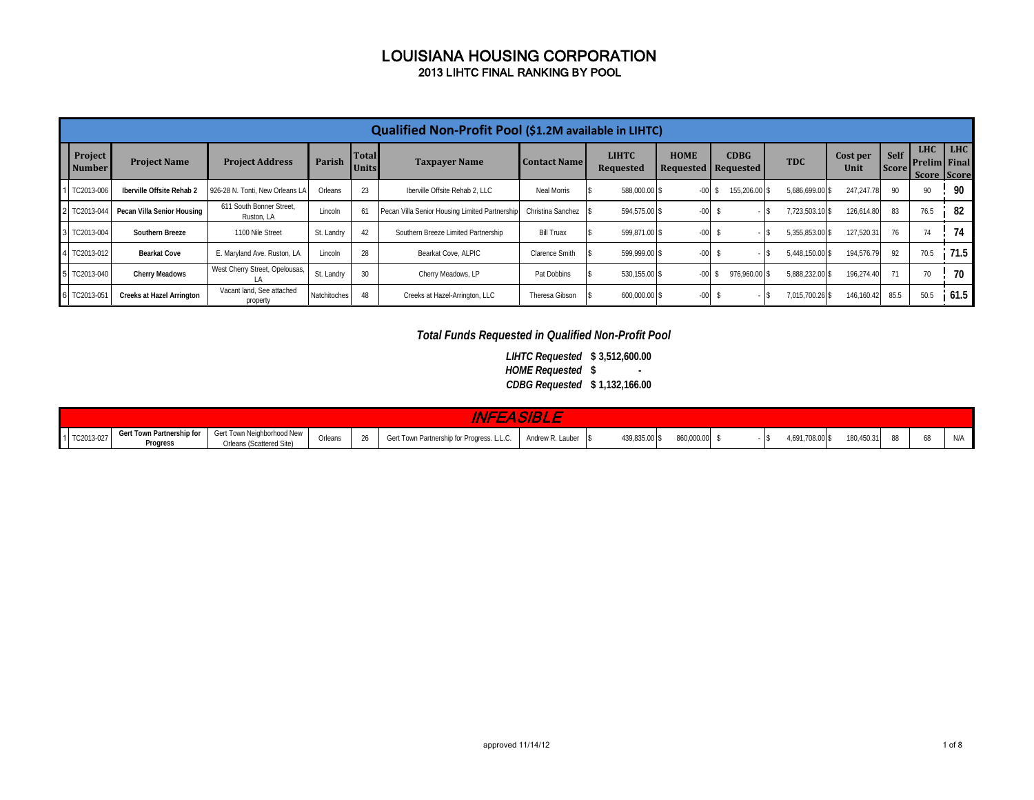|                          |                                  |                                        |              |                              | Qualified Non-Profit Pool (\$1.2M available in LIHTC) |                       |                                  |             |                                    |                 |                  |                             |                                                  |            |
|--------------------------|----------------------------------|----------------------------------------|--------------|------------------------------|-------------------------------------------------------|-----------------------|----------------------------------|-------------|------------------------------------|-----------------|------------------|-----------------------------|--------------------------------------------------|------------|
| Project<br><b>Number</b> | <b>Project Name</b>              | <b>Project Address</b>                 | Parish       | <b>Total</b><br><b>Units</b> | <b>Taxpayer Name</b>                                  | <b>Contact Name</b>   | <b>LIHTC</b><br><b>Requested</b> | <b>HOME</b> | <b>CDBG</b><br>Requested Requested | <b>TDC</b>      | Cost per<br>Unit | <b>Self</b><br><b>Score</b> | <b>LHC</b><br><b>Prelim Final</b><br>Score Score | <b>LHC</b> |
| 1 TC2013-006             | Iberville Offsite Rehab 2        | 926-28 N. Tonti. New Orleans LA        | Orleans      | 23                           | Iberville Offsite Rehab 2. LLC                        | Neal Morris           | 588,000.00 \$                    | $-00$       | 155,206.00 \$                      | 5.686.699.00 \$ | 247.247.78       | 90                          | 90                                               | 90         |
| 2 TC2013-044             | Pecan Villa Senior Housing       | 611 South Bonner Street.<br>Ruston, LA | Lincoln      | 61                           | Pecan Villa Senior Housing Limited Partnership        | Christina Sanchez     | 594.575.00 \$                    | $-00 -$     |                                    | 7,723,503.10 \$ | 126,614.80       | 83                          | 76.5                                             | 82         |
| 3 TC2013-004             | Southern Breeze                  | 1100 Nile Street                       | St. Landry   | 42                           | Southern Breeze Limited Partnership                   | <b>Bill Truax</b>     | 599.871.00 \$                    | $-00 -$     |                                    | 5,355,853.00 \$ | 127,520.31       | 76                          | 74                                               | 74         |
| 4 TC2013-012             | <b>Bearkat Cove</b>              | E. Maryland Ave. Ruston, LA            | Lincoln      | 28                           | Bearkat Cove, ALPIC                                   | <b>Clarence Smith</b> | 599.999.00 \$                    | $-00$       |                                    | 5,448,150.00 \$ | 194,576.79       | 92                          | 70.5                                             | 71.5       |
| 5 TC2013-040             | <b>Cherry Meadows</b>            | West Cherry Street, Opelousas,         | St. Landry   | 30                           | Cherry Meadows, LP                                    | Pat Dobbins           | 530.155.00 \$                    | $-00$       | 976.960.00 \$                      | 5.888.232.00 \$ | 196,274.40       | 71                          | 70                                               | 70         |
| 6 TC2013-05              | <b>Creeks at Hazel Arrington</b> | Vacant land. See attached<br>property  | Natchitoches | 48                           | Creeks at Hazel-Arrington, LLC                        | Theresa Gibson        | 600,000.00 \$                    | $-00 -$     |                                    | 7,015,700.26 \$ | 146,160.42       | 85.5                        | 50.5                                             | 61.5       |

#### *Total Funds Requested in Qualified Non-Profit Pool*

**\$ 3,512,600.00** *LIHTC Requested* **\$ - \$ 1,132,166.00** *CDBG Requested HOME Requested*

|              |                                       |                                                        |         | <b>NFEAST</b>                              |                     |               |            |                          |            |    |                      |
|--------------|---------------------------------------|--------------------------------------------------------|---------|--------------------------------------------|---------------------|---------------|------------|--------------------------|------------|----|----------------------|
| 1 TC2013-027 | Gert Town Partnership for<br>Progress | Gert Town Neighborhood New<br>Orleans (Scattered Site) | Orleans | Gert Town Partnership for Progress. L.L.C. | Andrew R. Lauber \$ | 439,835.00 \$ | 860,000.00 | 1,691,708.00 \$<br>- 135 | 180,450.31 | 88 | N <sub>1</sub><br>™r |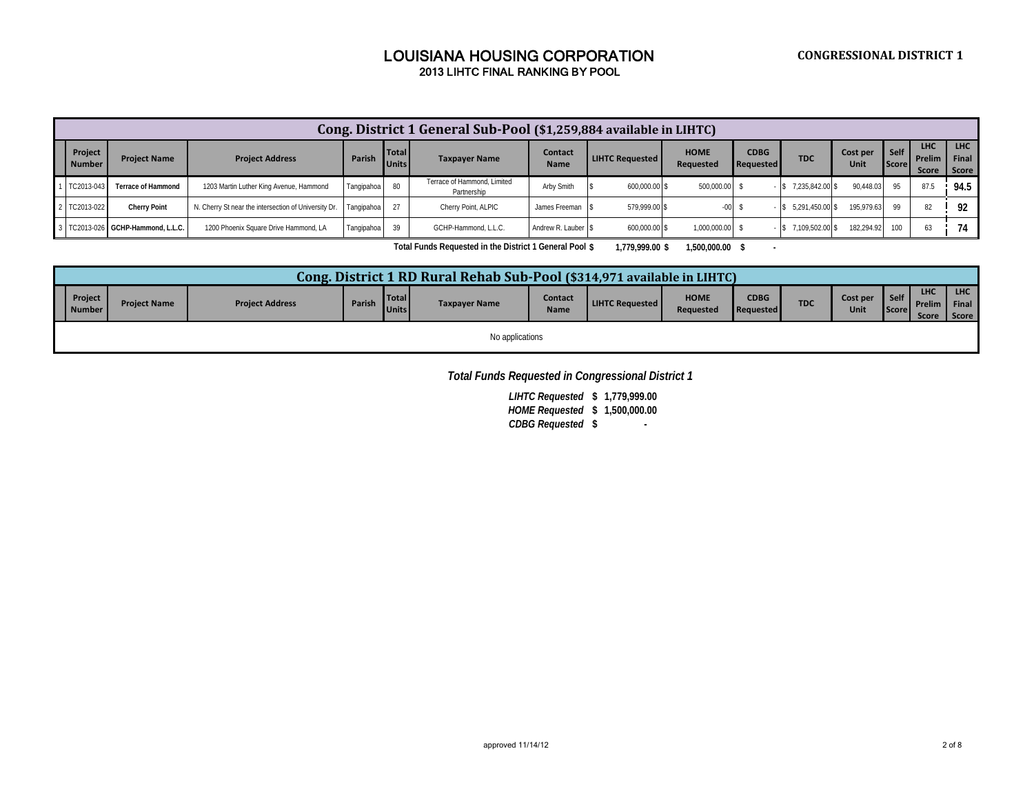|                          |                                 |                                                      |            |                              | Cong. District 1 General Sub-Pool (\$1,259,884 available in LIHTC) |                        |                        |                                 |                                 |                        |                  |                 |                               |                              |
|--------------------------|---------------------------------|------------------------------------------------------|------------|------------------------------|--------------------------------------------------------------------|------------------------|------------------------|---------------------------------|---------------------------------|------------------------|------------------|-----------------|-------------------------------|------------------------------|
| Project<br><b>Number</b> | <b>Project Name</b>             | <b>Project Address</b>                               | Parish     | <b>Total</b><br><b>Units</b> | <b>Taxpayer Name</b>                                               | Contact<br><b>Name</b> | <b>LIHTC Requested</b> | <b>HOME</b><br><b>Requested</b> | <b>CDBG</b><br><b>Requested</b> | <b>TDC</b>             | Cost per<br>Unit | Self  <br>Score | <b>LHC</b><br>Prelim<br>Score | <b>LHC</b><br>Final<br>Score |
| TC2013-043               | <b>Terrace of Hammond</b>       | 1203 Martin Luther King Avenue, Hammond              | Tangipahoa |                              | Terrace of Hammond, Limited<br>Partnership                         | Arby Smith             | 600,000.00 \$          | 500,000.00 \$                   |                                 | $-$ \$ 7,235,842.00 \$ | 90.448.03        | 95              | 87.5                          | 94.5                         |
| TC2013-022               | <b>Cherry Point</b>             | N. Cherry St near the intersection of University Dr. | Tangipahoa |                              | Cherry Point, ALPIC                                                | James Freeman S        | 579.999.00 \$          |                                 |                                 | $-$ \$ 5.291.450.00 \$ | 195.979.63       | 99              |                               | 92                           |
|                          | TC2013-026 GCHP-Hammond, L.L.C. | 1200 Phoenix Square Drive Hammond, LA                | Tangipahoa |                              | GCHP-Hammond, L.L.C.                                               | Andrew R. Lauber S     | 600.000.00 \$          | 1.000.000.00                    |                                 | $-$ \$ 7.109.502.00 \$ | 182.294.92       | 100             |                               | 74                           |

**Total Funds Requested in the District 1 General Pool \$ 1,779,999.00 \$ 1,500,000.00 \$** 

|                          |                     |                        |        |                              | Cong. District 1 RD Rural Rehab Sub-Pool (\$314,971 available in LIHTC) |                        |                        |                          |                                 |            |                  |                |                                   |                                |
|--------------------------|---------------------|------------------------|--------|------------------------------|-------------------------------------------------------------------------|------------------------|------------------------|--------------------------|---------------------------------|------------|------------------|----------------|-----------------------------------|--------------------------------|
| Project<br><b>Number</b> | <b>Project Name</b> | <b>Project Address</b> | Parish | <b>Total</b><br><b>Units</b> | <b>Taxpayer Name</b>                                                    | Contact<br><b>Name</b> | <b>LIHTC Requested</b> | <b>HOME</b><br>Requested | <b>CDBG</b><br><b>Requested</b> | <b>TDC</b> | Cost per<br>Unit | Iself<br>Score | <b>LHC</b><br>Prelim I<br>Score I | <b>LHC</b><br>Final<br>Score F |
|                          |                     |                        |        |                              | No applications                                                         |                        |                        |                          |                                 |            |                  |                |                                   |                                |

*Total Funds Requested in Congressional District 1*

**\$ 1,779,999.00** *LIHTC Requested***\$ 1,500,000.00** *HOME Requested* **\$ -** *CDBG Requested*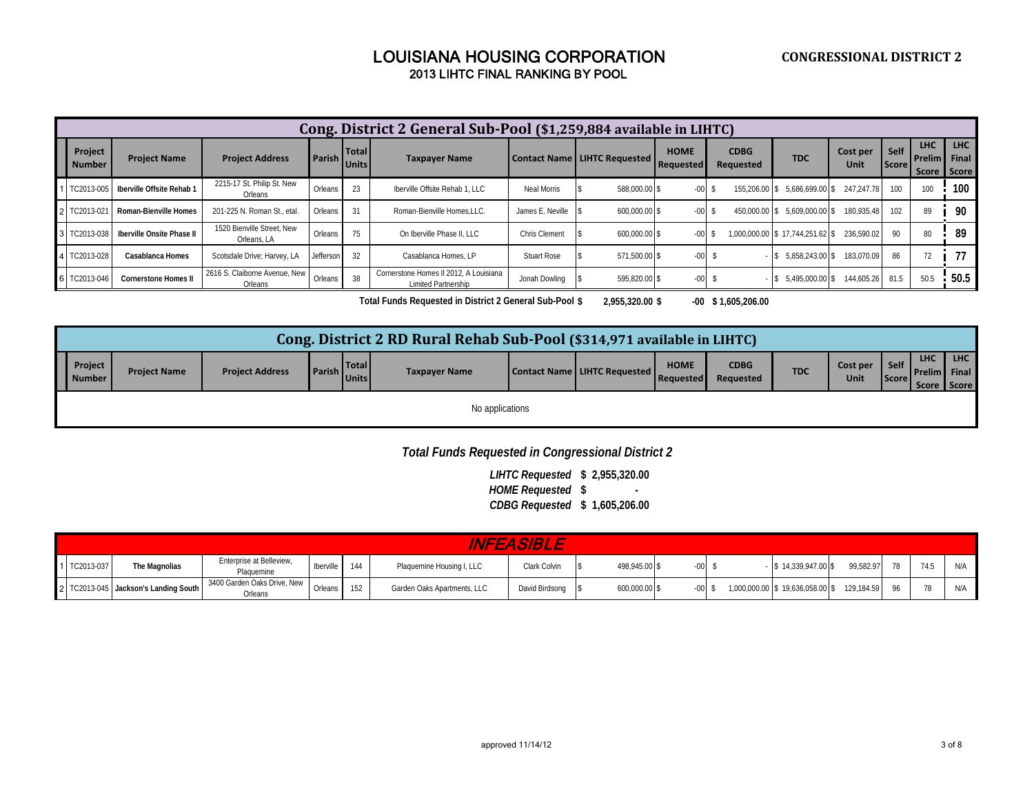|                          |                             |                                           |           |                              | Cong. District 2 General Sub-Pool (\$1,259,884 available in LIHTC) |                      |                                |                          |                          |                                 |                  |                      |                               |                             |
|--------------------------|-----------------------------|-------------------------------------------|-----------|------------------------------|--------------------------------------------------------------------|----------------------|--------------------------------|--------------------------|--------------------------|---------------------------------|------------------|----------------------|-------------------------------|-----------------------------|
| Project<br><b>Number</b> | <b>Project Name</b>         | <b>Project Address</b>                    | Parish I  | <b>Total</b><br><b>Units</b> | <b>Taxpayer Name</b>                                               |                      | Contact Name   LIHTC Requested | <b>HOME</b><br>Requested | <b>CDBG</b><br>Requested | <b>TDC</b>                      | Cost per<br>Unit | Self<br><b>Score</b> | <b>LHC</b><br><b>I</b> Prelim | LHC<br>Final<br>Score Score |
| TC2013-005               | Iberville Offsite Rehab 1   | 2215-17 St. Philip St. New<br>Orleans     | Orleans   | 23                           | Iberville Offsite Rehab 1. LLC                                     | Neal Morris          | 588.000.00 \$                  | $-00$                    | 155.206.00 \$            | 5.686.699.00 \$                 | 247.247.78       | 100                  | 100                           | 100                         |
| 2 TC2013-021             | Roman-Bienville Homes       | 201-225 N. Roman St., etal.               | Orleans   | -31                          | Roman-Bienville Homes.LLC.                                         | James E. Neville     | 600.000.00 \$<br>IS.           | $-00$                    | 450,000.00 \$            | 5.609.000.00 \$                 | 180.935.48       | 102                  | 89                            | 90                          |
| 3 TC2013-038             | Iberville Onsite Phase II   | 1520 Bienville Street, New<br>Orleans, LA | Orleans   | 75                           | On Iberville Phase II. LLC                                         | <b>Chris Clement</b> | 600.000.00 \$                  | $-00$                    |                          | 1.000.000.00 \$17.744.251.62 \$ | 236.590.02       | 90                   | 80                            | 89                          |
| 4 TC2013-028             | Casablanca Homes            | Scotsdale Drive; Harvey, LA               | Jefferson | 32                           | Casablanca Homes, LP                                               | <b>Stuart Rose</b>   | 571.500.00 \$                  | $-00$                    |                          | 5.858.243.00 \$<br>- 8          | 183.070.09       | 86                   | 72                            | 77                          |
| 6 TC2013-046             | <b>Cornerstone Homes II</b> | 2616 S. Claiborne Avenue. New<br>Orleans  | Orleans   | 38                           | Cornerstone Homes II 2012. A Louisiana<br>Limited Partnership      | Jonah Dowling        | 595.820.00 \$                  | $-00$                    |                          | $-$ \$ 5.495.000.00 \$          | 144.605.26       | 81.5                 | 50.5                          | 50.5                        |

**\$ 2,955,320.00 \$ -00 \$ 1,605,206.00 Total Funds Requested in District 2 General Sub-Pool**

|                   |                     |                        |                                        | Cong. District 2 RD Rural Rehab Sub-Pool (\$314,971 available in LIHTC) |                                |                          |                          |            |                  |                      |                                                    |            |
|-------------------|---------------------|------------------------|----------------------------------------|-------------------------------------------------------------------------|--------------------------------|--------------------------|--------------------------|------------|------------------|----------------------|----------------------------------------------------|------------|
| Project<br>Number | <b>Project Name</b> | <b>Project Address</b> | <b>Total</b><br><b>Parish</b><br>Units | <b>Taxpayer Name</b>                                                    | Contact Name   LIHTC Requested | <b>HOME</b><br>Requested | <b>CDBG</b><br>Requested | <b>TDC</b> | Cost per<br>Unit | Self<br><b>Score</b> | <b>LHC</b><br><b>Prelim Final</b><br>Score   Score | <b>LHC</b> |
|                   |                     |                        |                                        | No applications                                                         |                                |                          |                          |            |                  |                      |                                                    |            |

# *Total Funds Requested in Congressional District 2*

**\$ 2,955,320.00** *LIHTC Requested* **\$ -** *HOME Requested***\$ 1,605,206.00** *CDBG Requested*

|              |                                      |                                        |                  |     |                             | INFEASIBLE     |               |        |                                 |            |    |     |     |
|--------------|--------------------------------------|----------------------------------------|------------------|-----|-----------------------------|----------------|---------------|--------|---------------------------------|------------|----|-----|-----|
| 1 TC2013-037 | The Magnolias                        | Enterprise at Belleview,<br>Plaguemine | <b>Iberville</b> | 144 | Plaquemine Housing I, LLC   | Clark Colvin   | 498.945.00 \$ | -00    | $$14,339,947.00$ \$             | 99.582.97  | 78 | 741 | NIA |
|              | 2 TC2013-045 Jackson's Landing South | 3400 Garden Oaks Drive. New<br>Orleans | Orleans          |     | Garden Oaks Apartments, LLC | David Birdsong | 600,000.00 \$ | $-00-$ | 1,000,000.00 \$19,636,058.00 \$ | 129.184.59 |    |     | N/A |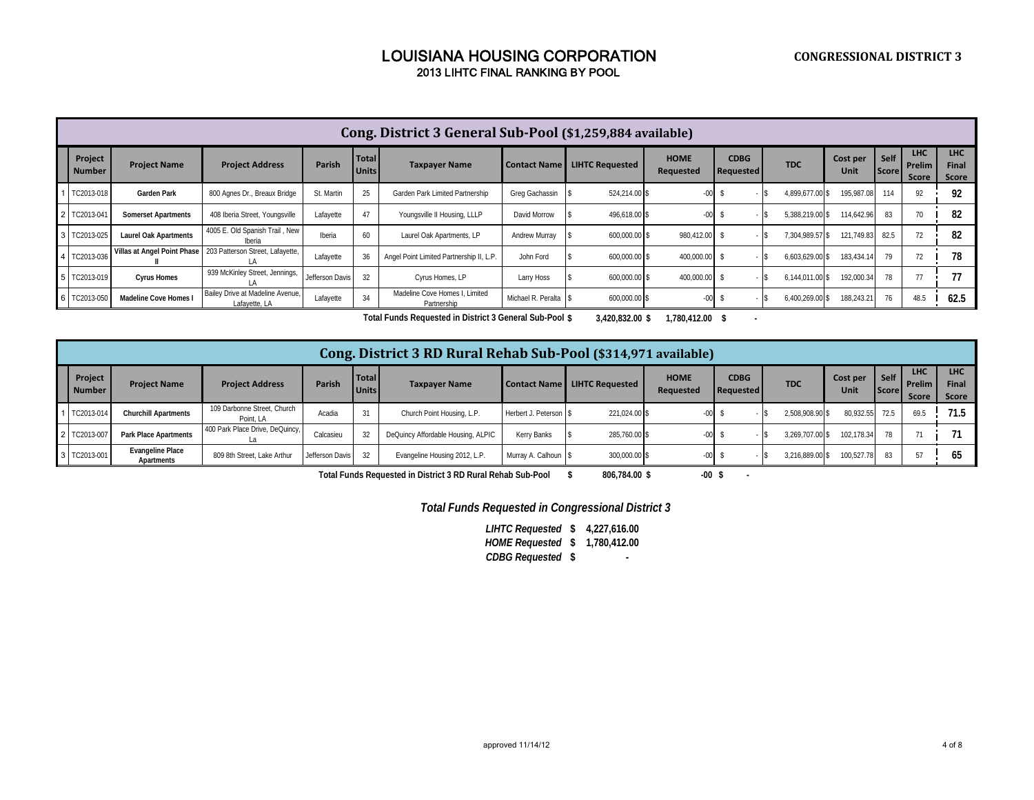|                          |                              |                                                   |                 |                       | Cong. District 3 General Sub-Pool (\$1,259,884 available) |                       |                        |                          |                                 |                 |                  |                      |                                      |                                     |
|--------------------------|------------------------------|---------------------------------------------------|-----------------|-----------------------|-----------------------------------------------------------|-----------------------|------------------------|--------------------------|---------------------------------|-----------------|------------------|----------------------|--------------------------------------|-------------------------------------|
| Project<br><b>Number</b> | <b>Project Name</b>          | <b>Project Address</b>                            | Parish          | Total<br><b>Units</b> | <b>Taxpayer Name</b>                                      | <b>Contact Name</b>   | <b>LIHTC Requested</b> | <b>HOME</b><br>Requested | <b>CDBG</b><br><b>Requested</b> | <b>TDC</b>      | Cost per<br>Unit | Self<br><b>Score</b> | <b>LHC</b><br>Prelim<br><b>Score</b> | <b>LHC</b><br><b>Final</b><br>Score |
| 1 TC2013-018             | Garden Park                  | 800 Agnes Dr., Breaux Bridge                      | St. Martin      | 25                    | Garden Park Limited Partnership                           | Greg Gachassin        | 524.214.00 \$          | $-00 -$                  |                                 | 4.899.677.00 \$ | 195,987.08       | 114                  | 92                                   | 92                                  |
| 2 TC2013-04              | <b>Somerset Apartments</b>   | 408 Iberia Street, Youngsville                    | Lafayette       | 47                    | Youngsville II Housing, LLLP                              | David Morrow          | 496,618.00 \$          | $-00-$                   |                                 | 5,388,219.00 \$ | 114,642.96       | 83                   | 70                                   | 82                                  |
| 3 TC2013-025             | <b>Laurel Oak Apartments</b> | 4005 E. Old Spanish Trail, New<br>Iberia          | Iberia          | 60                    | Laurel Oak Apartments, LP                                 | Andrew Murray         | 600,000.00 \$          | 980.412.00 \$            |                                 | 7,304,989.57 \$ | 121,749.83 82.5  |                      | 72                                   | 82                                  |
| 4 TC2013-036             | Villas at Angel Point Phase  | 203 Patterson Street, Lafayette,                  | Lafayette       | 36                    | Angel Point Limited Partnership II, L.P.                  | John Ford             | 600.000.00 \$          | 400.000.00               |                                 | 6,603,629.00 \$ | 183,434.14       | 79                   | 72                                   | 78                                  |
| 5 TC2013-019             | <b>Cyrus Homes</b>           | 939 McKinley Street, Jennings,                    | Jefferson Davis | 32                    | Cyrus Homes, LP                                           | Larry Hoss            | 600,000.00 \$          | 400,000.00               |                                 | 6.144.011.00 \$ | 192,000.34       | 78                   | 77                                   | 77                                  |
| 6 TC2013-050             | Madeline Cove Homes          | Bailey Drive at Madeline Avenue.<br>Lafayette, LA | Lafayette       | 34                    | Madeline Cove Homes I. Limited<br>Partnership             | Michael R. Peralta \$ | 600,000.00 \$          | $-00$                    |                                 | 6,400,269.00 \$ | 188,243.21       | 76                   | 48.5                                 | 62.5                                |

**\$ 3,420,832.00 \$ 1,780,412.00 \$ - Total Funds Requested in District 3 General Sub-Pool**

|                          |                                       |                                          |                 |                              | Cong. District 3 RD Rural Rehab Sub-Pool (\$314,971 available) |                       |                        |                          |                          |                 |                  |                        |                                      |                              |
|--------------------------|---------------------------------------|------------------------------------------|-----------------|------------------------------|----------------------------------------------------------------|-----------------------|------------------------|--------------------------|--------------------------|-----------------|------------------|------------------------|--------------------------------------|------------------------------|
| Project<br><b>Number</b> | <b>Project Name</b>                   | <b>Project Address</b>                   | Parish          | <b>Total</b><br><b>Units</b> | <b>Taxpayer Name</b>                                           | <b>Contact Name</b>   | <b>LIHTC Requested</b> | <b>HOME</b><br>Requested | <b>CDBG</b><br>Requested | <b>TDC</b>      | Cost per<br>Unit | Self  <br><b>Score</b> | <b>LHC</b><br><b>Prelim</b><br>Score | <b>LHC</b><br>Final<br>Score |
| 1 TC2013-014             | <b>Churchill Apartments</b>           | 109 Darbonne Street, Church<br>Point, LA | Acadia          | 31                           | Church Point Housing, L.P.                                     | Herbert J. Peterson S | 221.024.00 \$          |                          |                          | 2,508,908.90 \$ | 80,932.55        | 72.5                   | 69.5                                 | 71.5                         |
| 2 TC2013-00              | <b>Park Place Apartments</b>          | 400 Park Place Drive, DeQuincy,          | Calcasieu       | 32                           | DeQuincy Affordable Housing, ALPIC                             | Kerry Banks           | 285,760.00 \$          |                          |                          | 3,269,707.00 \$ | 102.178.34       | 78                     |                                      |                              |
| 3 TC2013-001             | <b>Evangeline Place</b><br>Apartments | 809 8th Street, Lake Arthur              | Jefferson Davis | 32                           | Evangeline Housing 2012, L.P.                                  | Murray A. Calhoun \$  | 300,000.00 \$          |                          |                          | 3,216,889.00 \$ | 100.527.78       | 83                     |                                      |                              |

**\$ 806,784.00 \$ -00 \$ - Total Funds Requested in District 3 RD Rural Rehab Sub-Pool**

*Total Funds Requested in Congressional District 3*

**\$ 4,227,616.00** *LIHTC Requested* **\$ 1,780,412.00** *HOME Requested***\$ -** *CDBG Requested*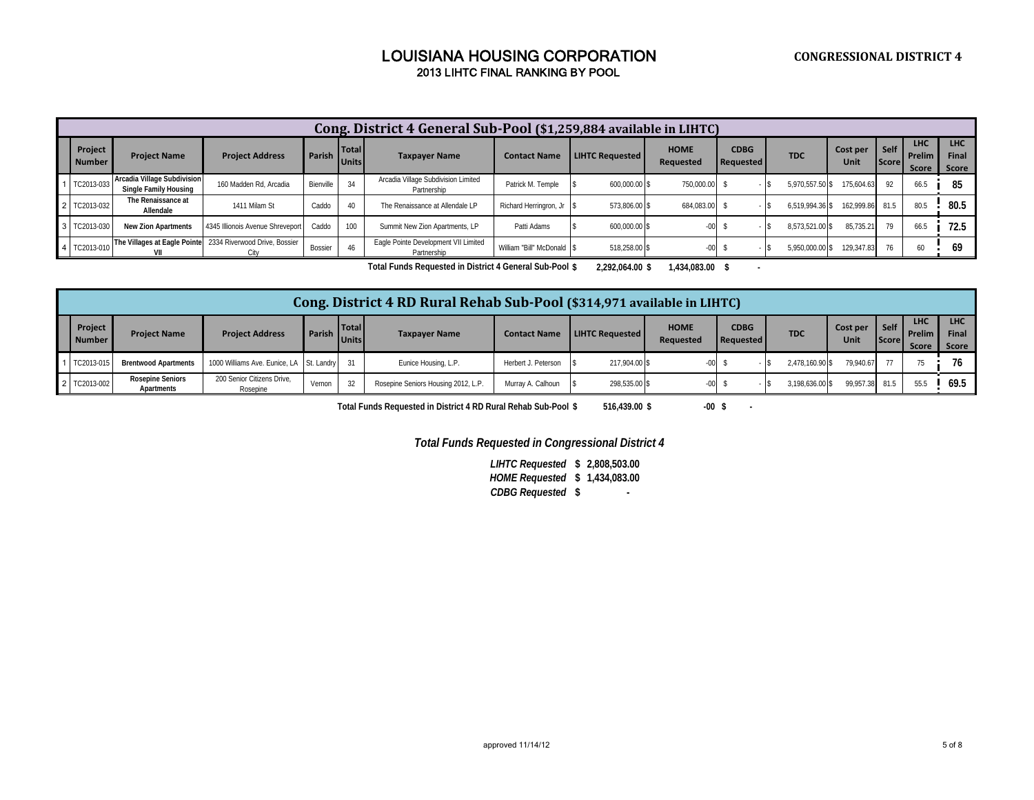|                          |                                                      |                                  |           |                              | Cong. District 4 General Sub-Pool (\$1,259,884 available in LIHTC) |                           |                        |                          |                                 |                 |                            |                      |                               |                                     |
|--------------------------|------------------------------------------------------|----------------------------------|-----------|------------------------------|--------------------------------------------------------------------|---------------------------|------------------------|--------------------------|---------------------------------|-----------------|----------------------------|----------------------|-------------------------------|-------------------------------------|
| Project<br><b>Number</b> | <b>Project Name</b>                                  | <b>Project Address</b>           | Parish I  | <b>Total</b><br><b>Units</b> | <b>Taxpayer Name</b>                                               | <b>Contact Name</b>       | <b>LIHTC Requested</b> | <b>HOME</b><br>Requested | <b>CDBG</b><br><b>Requested</b> | <b>TDC</b>      | Cost per<br>Unit           | Self<br><b>Score</b> | <b>LHC</b><br>Prelim<br>Score | <b>LHC</b><br><b>Final</b><br>Score |
| TC2013-033               | Arcadia Village Subdivision<br>Single Family Housing | 160 Madden Rd. Arcadia           | Bienville | 34                           | Arcadia Village Subdivision Limited<br>Partnership                 | Patrick M. Temple         | 600.000.00 \$          | 750,000.00               |                                 | 5,970,557.50 \$ | 175,604.63                 | 92                   | 66.5                          | 85                                  |
| TC2013-032               | The Renaissance at<br>Allendale                      | 1411 Milam St                    | Caddo     | 40                           | The Renaissance at Allendale LP                                    | Richard Herringron, Jr    | 573.806.00 \$          | 684,083.00               |                                 |                 | 6,519,994.36 \$ 162,999.86 | 81.5                 | 80.5                          | 80.5                                |
| 3 TC2013-030             | <b>New Zion Apartments</b>                           | 4345 Illionois Avenue Shreveport | Caddo     | 100                          | Summit New Zion Apartments, LP                                     | Patti Adams               | 600,000.00 \$          |                          |                                 | 8.573.521.00 \$ | 85.735.21                  |                      | 66.5                          | 72.5                                |
| TC2013-010               | The Villages at Eagle Pointe                         | 2334 Riverwood Drive, Bossier    | Bossier   | 46                           | Eagle Pointe Development VII Limited<br>Partnership                | William "Bill" McDonald S | 518.258.00 \$          |                          |                                 | 5.950.000.00 \$ | 129,347.83                 |                      | 60                            | 69                                  |

**2,292,064.00 \$ 1,434,083.00 \$ 1,434,083.00 \$ 1,434,083.00 \$ 1,434,083.00 \$ 1,434,083.00 \$ 1,434,083.00 \$ 1,434,083.00 \$ 1,434,083.00 \$ 1,434,083.00 \$ 1,434,083.00 \$ 1,434,083.00 \$ 1,434,083.00 \$ 1,434,083.00 \$ 1,434,083.0** 

|                          |                                       |                                          |                     |              | Cong. District 4 RD Rural Rehab Sub-Pool (\$314,971 available in LIHTC) |                     |                        |                          |                          |                 |                  |                        |                                                 |                              |
|--------------------------|---------------------------------------|------------------------------------------|---------------------|--------------|-------------------------------------------------------------------------|---------------------|------------------------|--------------------------|--------------------------|-----------------|------------------|------------------------|-------------------------------------------------|------------------------------|
| Project<br><b>Number</b> | <b>Project Name</b>                   | <b>Project Address</b>                   | <b>Parish Units</b> | <b>Total</b> | <b>Taxpayer Name</b>                                                    | <b>Contact Name</b> | <b>LIHTC Requested</b> | <b>HOME</b><br>Requested | <b>CDBG</b><br>Requested | <b>TDC</b>      | Cost per<br>Unit | Self I<br><b>Score</b> | <b>LHC</b><br>Prelim <b>I</b> .<br><b>Score</b> | <b>LHC</b><br>Final<br>Score |
| TC2013-01                | <b>Brentwood Apartments</b>           | 1000 Williams Ave. Eunice, LA St. Landry |                     |              | Eunice Housing, L.P.                                                    | Herbert J. Peterson | 217.904.00 \$          | $-00$                    |                          | 2.478.160.90 \$ | 79.940.67        |                        | 75                                              | 76                           |
| TC2013-002               | <b>Rosepine Seniors</b><br>Apartments | 200 Senior Citizens Drive.<br>Rosepine   | Vernon              | 22           | Rosepine Seniors Housing 2012, L.P.                                     | Murray A. Calhoun   | 298,535.00 \$          | $-00$                    |                          | 3,198,636.00 \$ | 99.957.38        | 81.5                   | 55.5                                            | 69.5                         |

**Total Funds Requested in District 4 RD Rural Rehab Sub-Pool**

**\$ 516,439.00 \$ -00 \$ -**

*Total Funds Requested in Congressional District 4*

**\$ 2,808,503.00** *LIHTC Requested* **\$ 1,434,083.00** *HOME RequestedCDBG Requested* **\$ -**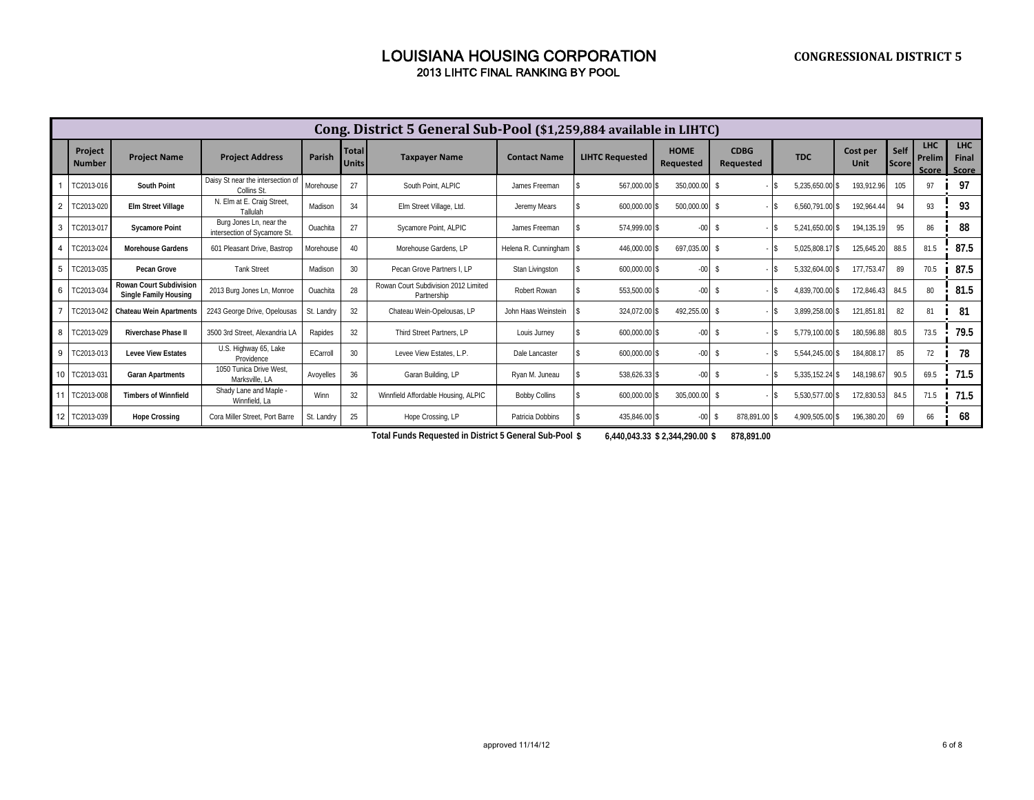|    |                          |                                                                |                                                         |               |                       | Cong. District 5 General Sub-Pool (\$1,259,884 available in LIHTC) |                      |                        |                                 |                                 |                 |                         |               |                               |                              |
|----|--------------------------|----------------------------------------------------------------|---------------------------------------------------------|---------------|-----------------------|--------------------------------------------------------------------|----------------------|------------------------|---------------------------------|---------------------------------|-----------------|-------------------------|---------------|-------------------------------|------------------------------|
|    | Project<br><b>Number</b> | <b>Project Name</b>                                            | <b>Project Address</b>                                  | <b>Parish</b> | Total<br><b>Units</b> | <b>Taxpayer Name</b>                                               | <b>Contact Name</b>  | <b>LIHTC Requested</b> | <b>HOME</b><br><b>Requested</b> | <b>CDBG</b><br><b>Requested</b> | <b>TDC</b>      | Cost per<br><b>Unit</b> | Self<br>Score | <b>LHC</b><br>Prelim<br>Score | <b>LHC</b><br>Final<br>Score |
|    | TC2013-016               | South Point                                                    | Daisy St near the intersection of<br>Collins St.        | Morehouse     | 27                    | South Point, ALPIC                                                 | James Freeman        | 567.000.00 \$          | 350,000.00 \$                   |                                 | 5.235.650.00 \$ | 193.912.96              | 105           | 97                            | 97                           |
|    | TC2013-020               | <b>Elm Street Village</b>                                      | N. Elm at E. Craig Street<br>Tallulah                   | Madison       | 34                    | Elm Street Village, Ltd.                                           | Jeremy Mears         | 600,000.00 \$          | 500,000.00 \$                   |                                 | 6.560.791.00 \$ | 192,964.4               | 94            | 93                            | 93                           |
| 3  | TC2013-017               | <b>Sycamore Point</b>                                          | Burg Jones Ln, near the<br>intersection of Sycamore St. | Ouachita      | 27                    | Sycamore Point, ALPIC                                              | James Freeman        | 574,999.00 \$          | $-00-$                          | - \$                            | 5,241,650.00 \$ | 194,135.19              | 95            | 86                            | 88                           |
|    | C2013-024                | <b>Morehouse Gardens</b>                                       | 601 Pleasant Drive. Bastrop                             | Morehouse     | 40                    | Morehouse Gardens, LP                                              | Helena R. Cunningham | 446,000.00 \$          | 697,035.00 \$                   |                                 | 5,025,808.17 \$ | 125,645.20              | 88.5          | 81.5                          | 87.5                         |
| 5  | TC2013-035               | Pecan Grove                                                    | <b>Tank Street</b>                                      | Madison       | 30                    | Pecan Grove Partners I. LP                                         | Stan Livingston      | 600.000.00 \$          | $-00$                           | -S                              | 5,332,604.00 \$ | 177,753.4               | 89            | 70.5                          | 87.5                         |
| 6  | C2013-034                | <b>Rowan Court Subdivision</b><br><b>Single Family Housing</b> | 2013 Burg Jones Ln, Monroe                              | Ouachita      | 28                    | Rowan Court Subdivision 2012 Limited<br>Partnership                | Robert Rowan         | 553,500.00 \$          | $-00$                           | -S                              | 4.839.700.00 \$ | 172,846.43              | 84.5          | 80                            | 81.5                         |
|    | TC2013-042               | <b>Chateau Wein Apartments</b>                                 | 2243 George Drive, Opelousas                            | St. Landrv    | 32                    | Chateau Wein-Opelousas, LP                                         | John Haas Weinstein  | 324,072.00 \$          | 492,255.00 \$                   |                                 | 3,899,258.00 \$ | 121,851.81              | 82            | 81                            | 81                           |
| 8  | TC2013-029               | <b>Riverchase Phase II</b>                                     | 3500 3rd Street, Alexandria LA                          | Rapides       | 32                    | Third Street Partners, LP                                          | Louis Jurney         | 600,000.00 \$          | $-00 -$                         | -S                              | 5,779,100.00 \$ | 180,596.88              | 80.5          | 73.5                          | 79.5                         |
| 9  | TC2013-013               | <b>Levee View Estates</b>                                      | U.S. Highway 65, Lake<br>Providence                     | ECarroll      | 30                    | Levee View Estates, L.P.                                           | Dale Lancaster       | 600,000.00 \$          | $-00$                           |                                 | 5.544.245.00 \$ | 184,808.1               | 85            | 72                            | 78                           |
|    | TC2013-031               | <b>Garan Apartments</b>                                        | 1050 Tunica Drive West<br>Marksville, LA                | Avoyelles     | 36                    | Garan Building, LP                                                 | Ryan M. Juneau       | 538,626.33 \$          | $-00$                           | -S                              | 5,335,152.24 \$ | 148,198.6               | 90.5          | 69.5                          | 71.5                         |
| 11 | TC2013-008               | <b>Timbers of Winnfield</b>                                    | Shady Lane and Maple -<br>Winnfield, La                 | Winn          | 32                    | Winnfield Affordable Housing, ALPIC                                | <b>Bobby Collins</b> | 600,000.00 \$          | 305,000.00 \$                   |                                 | 5,530,577.00 \$ | 172,830.53              | 84.5          | 71.5                          | 71.5                         |
| 12 | C2013-039                | <b>Hope Crossing</b>                                           | Cora Miller Street. Port Barre                          | St. Landry    | 25                    | Hope Crossing, LP                                                  | Patricia Dobbins     | 435,846.00 \$          | $-00$                           | 878,891.00                      | 4,909,505.00 \$ | 196,380.20              | 69            | 66                            | 68                           |

**\$ 6,440,043.33 \$ 2,344,290.00 \$ 878,891.00 Total Funds Requested in District 5 General Sub-Pool**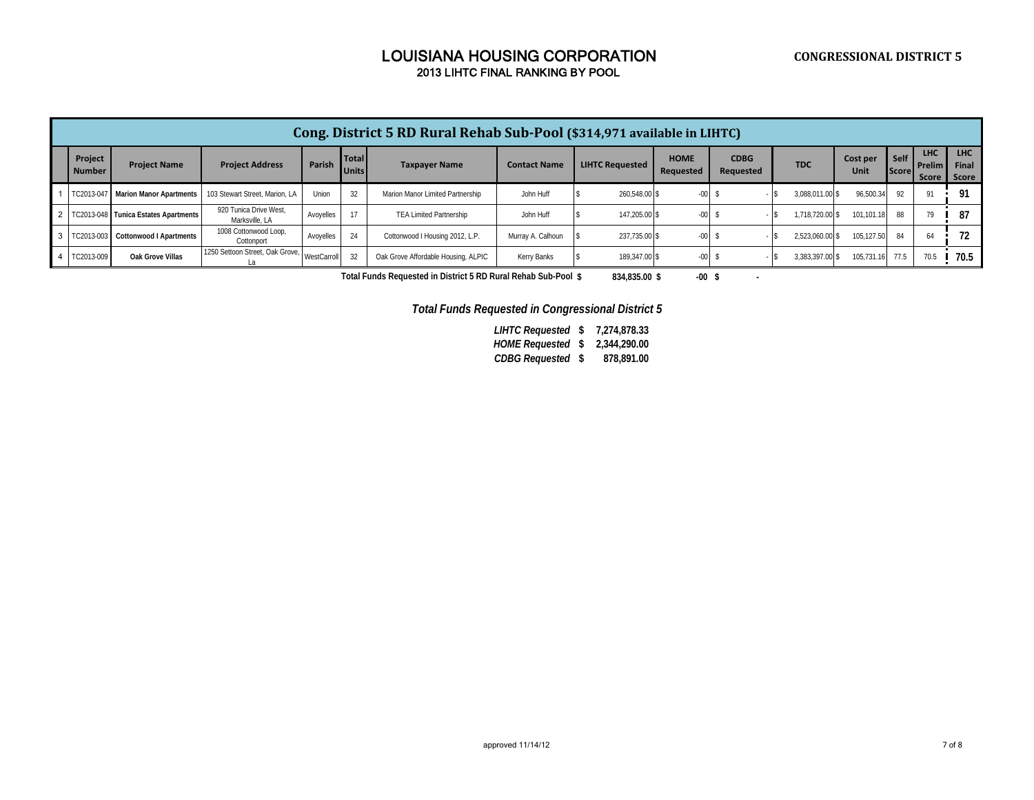| Cong. District 5 RD Rural Rehab Sub-Pool (\$314,971 available in LIHTC) |                                            |                                          |             |                              |                                     |                     |                        |                          |                          |                 |                  |                      |                                      |                              |
|-------------------------------------------------------------------------|--------------------------------------------|------------------------------------------|-------------|------------------------------|-------------------------------------|---------------------|------------------------|--------------------------|--------------------------|-----------------|------------------|----------------------|--------------------------------------|------------------------------|
| Project<br><b>Number</b>                                                | <b>Project Name</b>                        | <b>Project Address</b>                   | Parish      | <b>Total</b><br><b>Units</b> | <b>Taxpayer Name</b>                | <b>Contact Name</b> | <b>LIHTC Requested</b> | <b>HOME</b><br>Requested | <b>CDBG</b><br>Requested | <b>TDC</b>      | Cost per<br>Unit | Self<br><b>Score</b> | <b>LHC</b><br><b>Prelim</b><br>Score | <b>LHC</b><br>Final<br>Score |
| TC2013-047                                                              | <b>Marion Manor Apartments</b>             | 103 Stewart Street, Marion, LA           | Union       | 32                           | Marion Manor Limited Partnership    | John Huff           | 260.548.00 \$          | $-00$                    |                          | 3,088,011.00 \$ | 96.500.34        | 92                   | 91                                   | 91                           |
|                                                                         | 2   TC2013-048   Tunica Estates Apartments | 920 Tunica Drive West.<br>Marksville, LA | Avoyelles   |                              | <b>TEA Limited Partnership</b>      | John Huff           | 147.205.00 \$          | $-00$                    |                          | 1.718.720.00 \$ | 101.101.18       | 88                   | 70                                   | 87                           |
| 3 TC2013-003                                                            | Cottonwood I Apartments                    | 1008 Cottonwood Loop,<br>Cottonport      | Avoyelles   | 24                           | Cottonwood I Housing 2012, L.P.     | Murray A. Calhoun   | 237,735.00 \$          | $-00-$                   |                          | 2.523.060.00 \$ | 105.127.50       | 84                   | 64                                   | 72                           |
| 4 TC2013-009                                                            | Oak Grove Villas                           | 1250 Settoon Street. Oak Grove.          | WestCarroll | 32                           | Oak Grove Affordable Housing, ALPIC | Kerry Banks         | 189.347.00 \$          | $-00$                    |                          | 3.383.397.00 \$ | 105.731.16       | 77.5                 |                                      | 70.5                         |

**\$ 834,835.00 \$ -00 \$ - Total Funds Requested in District 5 RD Rural Rehab Sub-Pool**

*Total Funds Requested in Congressional District 5*

**\$ 7,274,878.33** *LIHTC Requested* **\$ 2,344,290.00** *HOME Requested*

**\$ 878,891.00** *CDBG Requested*